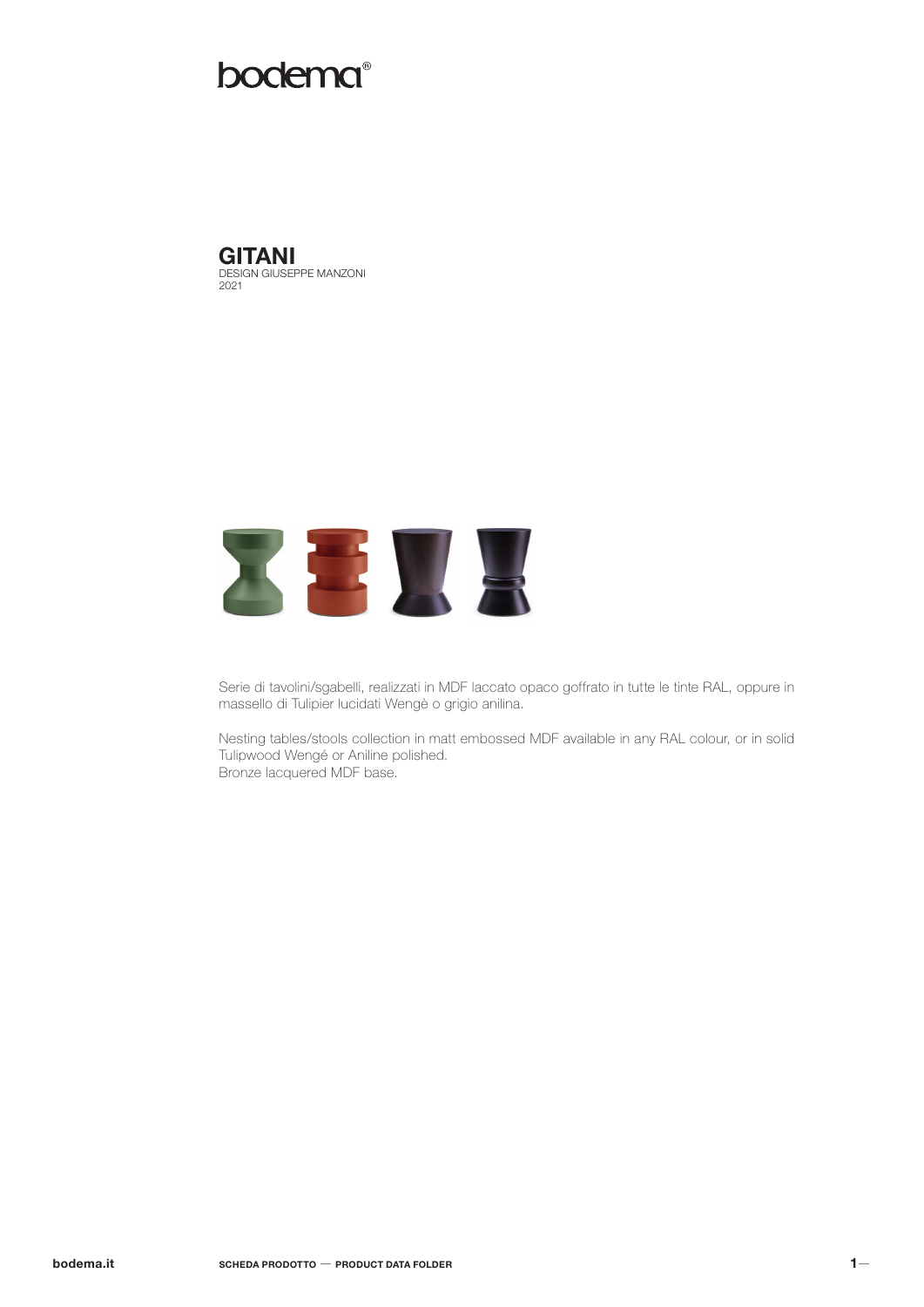## bodema®

DESIGN GIUSEPPE MANZONI 2021 **GITANI** 



Serie di tavolini/sgabelli, realizzati in MDF laccato opaco goffrato in tutte le tinte RAL, oppure in massello di Tulipier lucidati Wengè o grigio anilina.

Nesting tables/stools collection in matt embossed MDF available in any RAL colour, or in solid Tulipwood Wengé or Aniline polished. Bronze lacquered MDF base.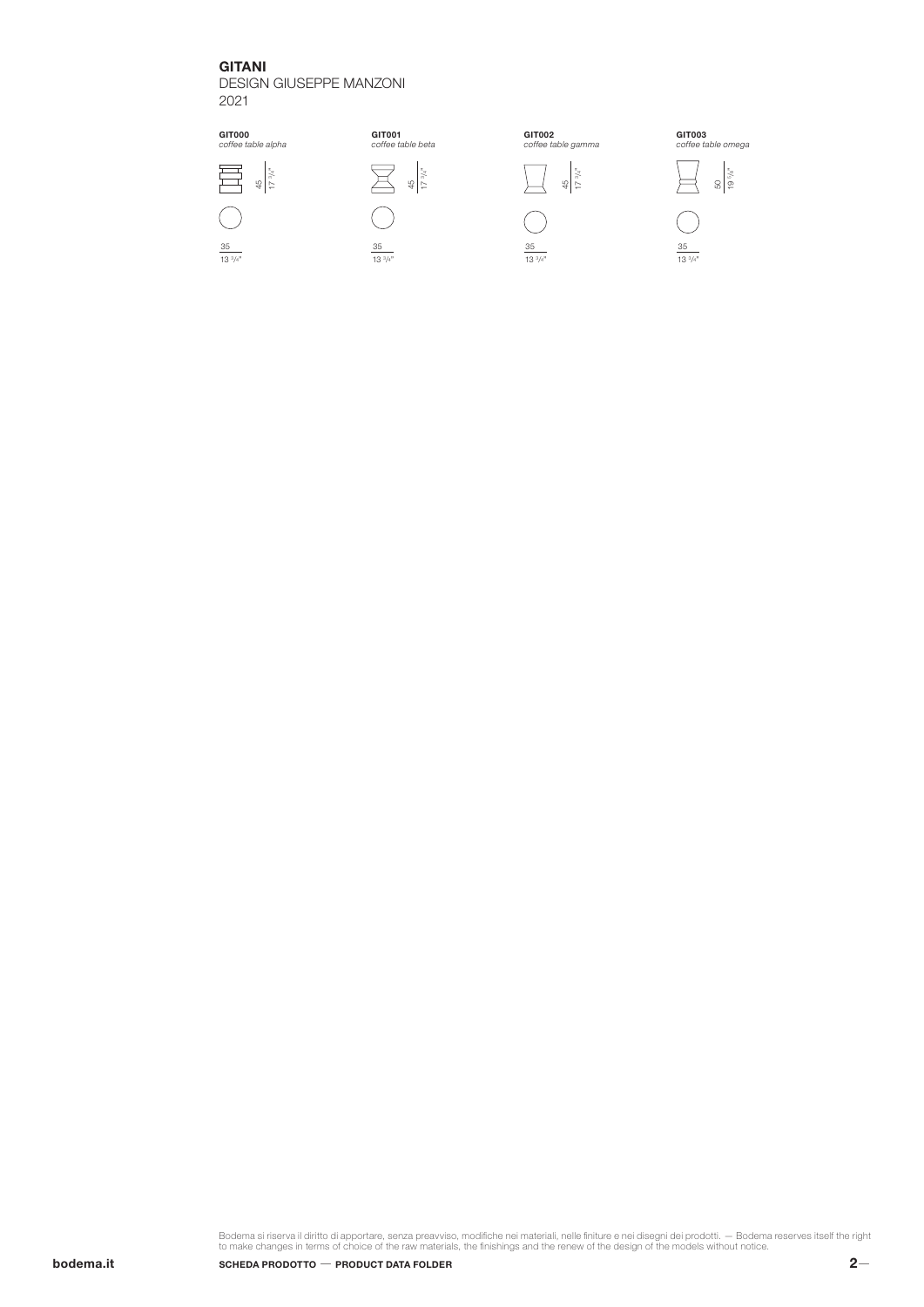### GITANI

DESIGN GIUSEPPE MANZONI 2021







13 3 /4"



Bodema si riserva il diritto di apportare, senza preavviso, modifiche nei materiali, nelle finiture e nei disegni dei prodotti. — Bodema reserves itself the right<br>to make changes in terms of choice of the raw materials, th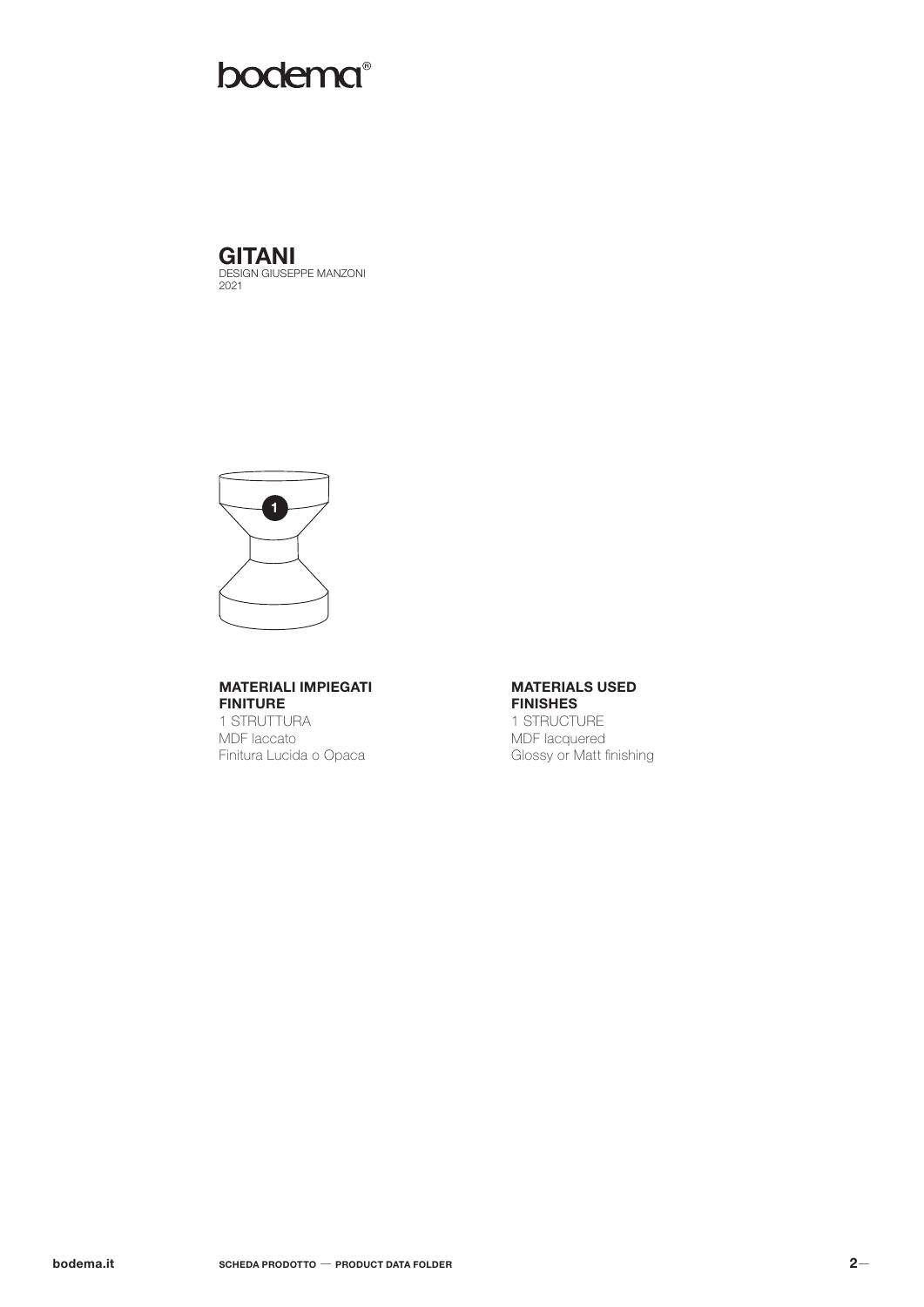# bodema®



 $\overline{\mathbf{1}}$ 

## **MATERIALI IMPIEGATI FINITURE**

1 STRUTTURA MDF laccato Finitura Lucida o Opaca

#### **MATERIALS USED FINISHES**

1 STRUCTURE MDF lacquered Glossy or Matt finishing